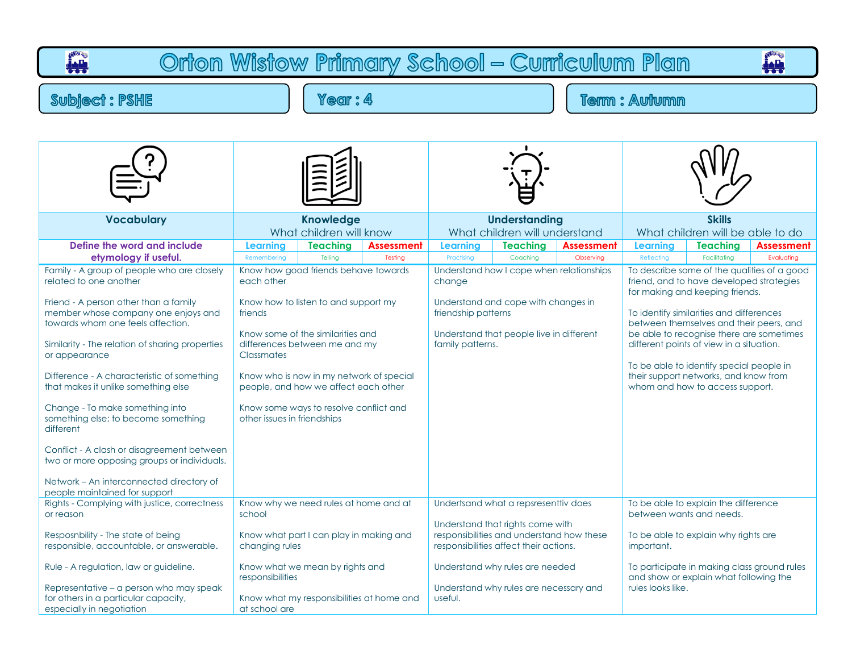| Orton Wistow Primary School - Curriculum Plan<br>بليز                                                                                                                                                                                                                                                                                                                                                                                                                                                                                                                                                               |                                                                                                                                                                                                                                                                                                                                                               |                            |                              |                                                   |                                                                                                                                                                                                                                              |                                |                                                                                                                                                                                                                                                                                                                                                                                                                                   |                                                                                                                                                                                                   |                                 |  |  |  |  |
|---------------------------------------------------------------------------------------------------------------------------------------------------------------------------------------------------------------------------------------------------------------------------------------------------------------------------------------------------------------------------------------------------------------------------------------------------------------------------------------------------------------------------------------------------------------------------------------------------------------------|---------------------------------------------------------------------------------------------------------------------------------------------------------------------------------------------------------------------------------------------------------------------------------------------------------------------------------------------------------------|----------------------------|------------------------------|---------------------------------------------------|----------------------------------------------------------------------------------------------------------------------------------------------------------------------------------------------------------------------------------------------|--------------------------------|-----------------------------------------------------------------------------------------------------------------------------------------------------------------------------------------------------------------------------------------------------------------------------------------------------------------------------------------------------------------------------------------------------------------------------------|---------------------------------------------------------------------------------------------------------------------------------------------------------------------------------------------------|---------------------------------|--|--|--|--|
| <b>Subject: PSHE</b>                                                                                                                                                                                                                                                                                                                                                                                                                                                                                                                                                                                                | Year: 4                                                                                                                                                                                                                                                                                                                                                       |                            |                              |                                                   |                                                                                                                                                                                                                                              | <b>Term: Autumn</b>            |                                                                                                                                                                                                                                                                                                                                                                                                                                   |                                                                                                                                                                                                   |                                 |  |  |  |  |
|                                                                                                                                                                                                                                                                                                                                                                                                                                                                                                                                                                                                                     |                                                                                                                                                                                                                                                                                                                                                               |                            |                              |                                                   |                                                                                                                                                                                                                                              |                                |                                                                                                                                                                                                                                                                                                                                                                                                                                   |                                                                                                                                                                                                   |                                 |  |  |  |  |
| <b>Vocabulary</b>                                                                                                                                                                                                                                                                                                                                                                                                                                                                                                                                                                                                   | <b>Knowledge</b><br>What children will know                                                                                                                                                                                                                                                                                                                   |                            |                              |                                                   | <b>Understanding</b><br>What children will understand                                                                                                                                                                                        |                                | <b>Skills</b><br>What children will be able to do                                                                                                                                                                                                                                                                                                                                                                                 |                                                                                                                                                                                                   |                                 |  |  |  |  |
| Define the word and include<br>etymology if useful.                                                                                                                                                                                                                                                                                                                                                                                                                                                                                                                                                                 | <b>Learning</b><br>Remembering                                                                                                                                                                                                                                                                                                                                | <b>Teaching</b><br>Tellina | <b>Assessment</b><br>Testing | <b>Learning</b><br>Practising                     | <b>Teaching</b><br>Coaching                                                                                                                                                                                                                  | <b>Assessment</b><br>Observing | <b>Learning</b><br>Reflecting                                                                                                                                                                                                                                                                                                                                                                                                     | <b>Teaching</b><br>Facilitating                                                                                                                                                                   | <b>Assessment</b><br>Evaluating |  |  |  |  |
| Family - A group of people who are closely<br>related to one another<br>Friend - A person other than a family<br>member whose company one enjoys and<br>towards whom one feels affection.<br>Similarity - The relation of sharing properties<br>or appearance<br>Difference - A characteristic of something<br>that makes it unlike something else<br>Change - To make something into<br>something else; to become something<br>different<br>Conflict - A clash or disagreement between<br>two or more opposing groups or individuals.<br>Network – An interconnected directory of<br>people maintained for support | Know how good friends behave towards<br>each other<br>Know how to listen to and support my<br>friends<br>Know some of the similarities and<br>differences between me and my<br><b>Classmates</b><br>Know who is now in my network of special<br>people, and how we affect each other<br>Know some ways to resolve conflict and<br>other issues in friendships |                            |                              | change<br>friendship patterns<br>family patterns. | Understand how I cope when relationships<br>Understand and cope with changes in<br>Understand that people live in different                                                                                                                  |                                | To describe some of the qualities of a good<br>friend, and to have developed strategies<br>for making and keeping friends.<br>To identify similarities and differences<br>between themselves and their peers, and<br>be able to recognise there are sometimes<br>different points of view in a situation.<br>To be able to identify special people in<br>their support networks, and know from<br>whom and how to access support. |                                                                                                                                                                                                   |                                 |  |  |  |  |
| Rights - Complying with justice, correctness<br>or reason<br>Resposnbility - The state of being<br>responsible, accountable, or answerable.<br>Rule - A regulation, law or guideline.<br>Representative - a person who may speak<br>for others in a particular capacity,<br>especially in negotiation                                                                                                                                                                                                                                                                                                               | Know why we need rules at home and at<br>school<br>Know what part I can play in making and<br>changing rules<br>Know what we mean by rights and<br>responsibilities<br>Know what my responsibilities at home and<br>at school are                                                                                                                             |                            |                              | useful.                                           | Undertsand what a repsresenttiv does<br>Understand that rights come with<br>responsibilities and understand how these<br>responsibilities affect their actions.<br>Understand why rules are needed<br>Understand why rules are necessary and |                                | important.<br>rules looks like.                                                                                                                                                                                                                                                                                                                                                                                                   | To be able to explain the difference<br>between wants and needs.<br>To be able to explain why rights are<br>To participate in making class ground rules<br>and show or explain what following the |                                 |  |  |  |  |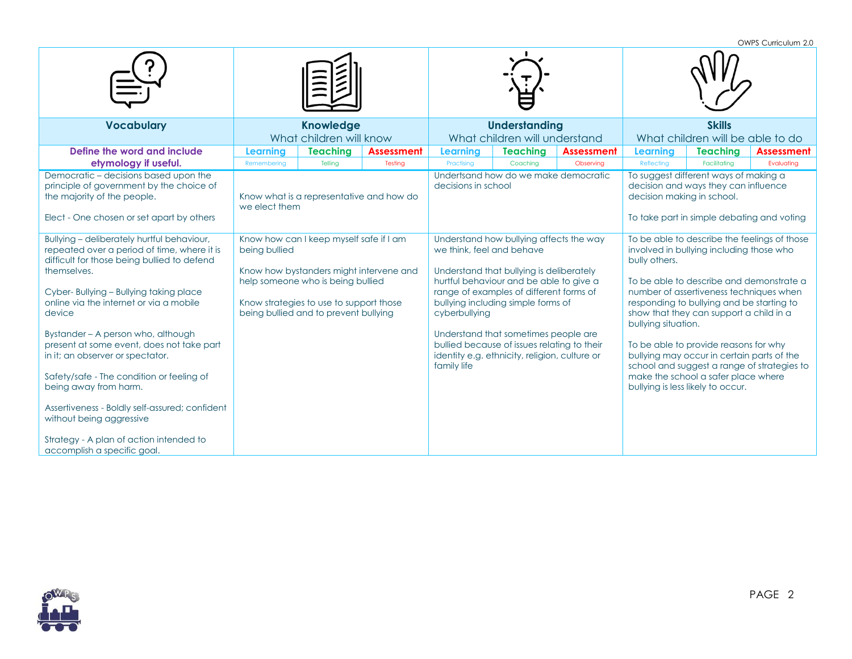OWPS Curriculum 2.0

|                                                                                                                                                                                                                                                                                                                                                                                                                                                                                                                                                                                                             |                                             |                                                                                                                                                                                                             |                              |                                                           |                                                                                                                                                                                                                                                                                                                                                         |                                | OWES CUITICUIUIT Z.U                              |                                                                                                                                                                                                                                                                                                                                                                                                                                                                                           |                                 |
|-------------------------------------------------------------------------------------------------------------------------------------------------------------------------------------------------------------------------------------------------------------------------------------------------------------------------------------------------------------------------------------------------------------------------------------------------------------------------------------------------------------------------------------------------------------------------------------------------------------|---------------------------------------------|-------------------------------------------------------------------------------------------------------------------------------------------------------------------------------------------------------------|------------------------------|-----------------------------------------------------------|---------------------------------------------------------------------------------------------------------------------------------------------------------------------------------------------------------------------------------------------------------------------------------------------------------------------------------------------------------|--------------------------------|---------------------------------------------------|-------------------------------------------------------------------------------------------------------------------------------------------------------------------------------------------------------------------------------------------------------------------------------------------------------------------------------------------------------------------------------------------------------------------------------------------------------------------------------------------|---------------------------------|
| <b>Vocabulary</b>                                                                                                                                                                                                                                                                                                                                                                                                                                                                                                                                                                                           | <b>Knowledge</b><br>What children will know |                                                                                                                                                                                                             |                              | <b>Understanding</b><br>What children will understand     |                                                                                                                                                                                                                                                                                                                                                         |                                | <b>Skills</b><br>What children will be able to do |                                                                                                                                                                                                                                                                                                                                                                                                                                                                                           |                                 |
| Define the word and include<br>etymology if useful.                                                                                                                                                                                                                                                                                                                                                                                                                                                                                                                                                         | Learning<br>Remembering                     | <b>Teaching</b><br>Telling                                                                                                                                                                                  | <b>Assessment</b><br>Testing | <b>Learning</b><br>Practising                             | <b>Teaching</b><br>Coaching                                                                                                                                                                                                                                                                                                                             | <b>Assessment</b><br>Observing | <b>Learning</b><br>Reflecting                     | <b>Teaching</b><br>Facilitatina                                                                                                                                                                                                                                                                                                                                                                                                                                                           | <b>Assessment</b><br>Evaluating |
| Democratic - decisions based upon the<br>principle of government by the choice of<br>the majority of the people.<br>Elect - One chosen or set apart by others                                                                                                                                                                                                                                                                                                                                                                                                                                               | we elect them                               | Know what is a representative and how do                                                                                                                                                                    |                              | decisions in school                                       | Undertsand how do we make democratic                                                                                                                                                                                                                                                                                                                    |                                | decision making in school.                        | To suggest different ways of making a<br>decision and ways they can influence<br>To take part in simple debating and voting                                                                                                                                                                                                                                                                                                                                                               |                                 |
| Bullying - deliberately hurtful behaviour,<br>repeated over a period of time, where it is<br>difficult for those being bullied to defend<br>themselves.<br>Cyber-Bullying - Bullying taking place<br>online via the internet or via a mobile<br>device<br>Bystander - A person who, although<br>present at some event, does not take part<br>in it; an observer or spectator.<br>Safety/safe - The condition or feeling of<br>being away from harm.<br>Assertiveness - Boldly self-assured; confident<br>without being aggressive<br>Strategy - A plan of action intended to<br>accomplish a specific goal. | being bullied                               | Know how can I keep myself safe if I am<br>Know how bystanders might intervene and<br>help someone who is being bullied<br>Know strategies to use to support those<br>being bullied and to prevent bullying |                              | we think, feel and behave<br>cyberbullying<br>family life | Understand how bullying affects the way<br>Understand that bullying is deliberately<br>hurtful behaviour and be able to give a<br>range of examples of different forms of<br>bullying including simple forms of<br>Understand that sometimes people are<br>bullied because of issues relating to their<br>identity e.g. ethnicity, religion, culture or |                                | bully others.<br>bullying situation.              | To be able to describe the feelings of those<br>involved in bullying including those who<br>To be able to describe and demonstrate a<br>number of assertiveness techniques when<br>responding to bullying and be starting to<br>show that they can support a child in a<br>To be able to provide reasons for why<br>bullying may occur in certain parts of the<br>school and suggest a range of strategies to<br>make the school a safer place where<br>bullying is less likely to occur. |                                 |

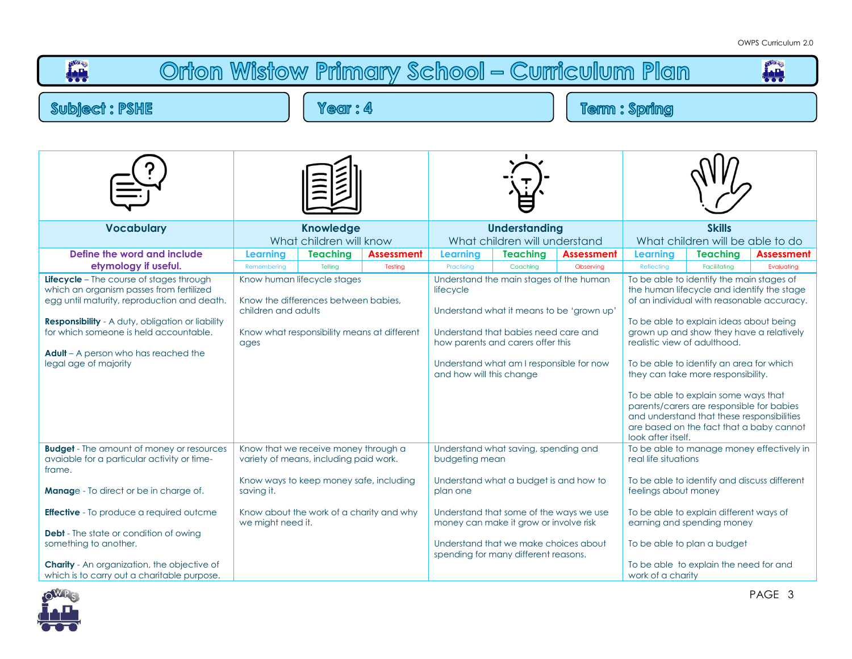



PAGE 3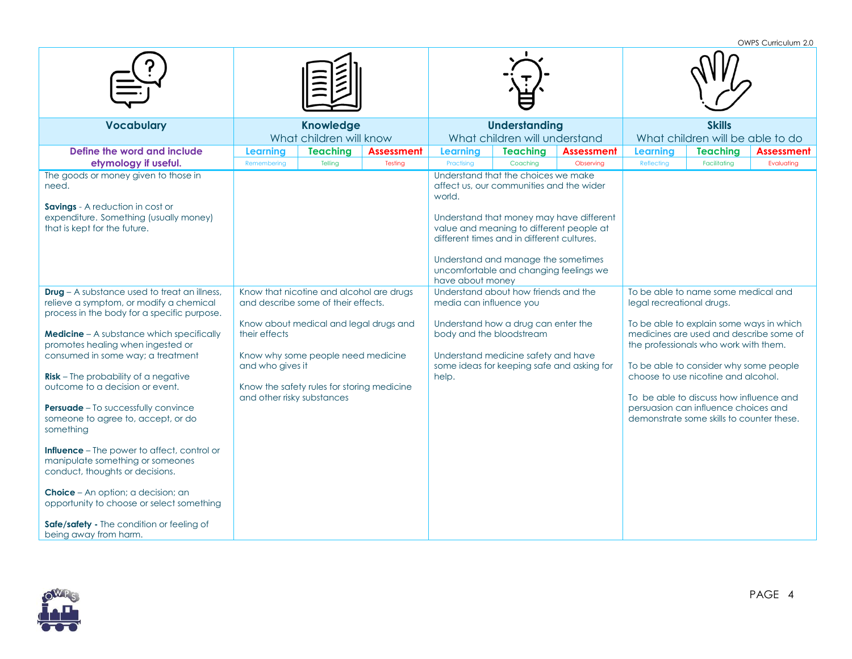OWPS Curriculum 2.0

| <b>Vocabulary</b>                                                                                                                                                                                                                                                                                                                                                                                                                                                                                                                                                                                                                                                                                                                                    | <b>Knowledge</b><br>What children will know                     |                                                                                                                                                                                                               |                              |                                                                                                                                                                                                                                                   | <b>Understanding</b><br>What children will understand |                                          | <b>Skills</b><br>What children will be able to do |                                                                                                                                                                                                                                                                                                                                                                                      |                                 |  |
|------------------------------------------------------------------------------------------------------------------------------------------------------------------------------------------------------------------------------------------------------------------------------------------------------------------------------------------------------------------------------------------------------------------------------------------------------------------------------------------------------------------------------------------------------------------------------------------------------------------------------------------------------------------------------------------------------------------------------------------------------|-----------------------------------------------------------------|---------------------------------------------------------------------------------------------------------------------------------------------------------------------------------------------------------------|------------------------------|---------------------------------------------------------------------------------------------------------------------------------------------------------------------------------------------------------------------------------------------------|-------------------------------------------------------|------------------------------------------|---------------------------------------------------|--------------------------------------------------------------------------------------------------------------------------------------------------------------------------------------------------------------------------------------------------------------------------------------------------------------------------------------------------------------------------------------|---------------------------------|--|
| Define the word and include<br>etymology if useful.<br>The goods or money given to those in                                                                                                                                                                                                                                                                                                                                                                                                                                                                                                                                                                                                                                                          | <b>Learning</b><br>Remembering                                  | <b>Teaching</b><br>Telling                                                                                                                                                                                    | <b>Assessment</b><br>Testing | Learning<br>Practising<br>Understand that the choices we make                                                                                                                                                                                     | <b>Teaching</b><br>Coaching                           | <b>Assessment</b><br>Observing           | Learning<br>Reflecting                            | <b>Teaching</b><br>Facilitating                                                                                                                                                                                                                                                                                                                                                      | <b>Assessment</b><br>Evaluating |  |
| need.<br>Savings - A reduction in cost or<br>expenditure. Something (usually money)<br>that is kept for the future.                                                                                                                                                                                                                                                                                                                                                                                                                                                                                                                                                                                                                                  |                                                                 |                                                                                                                                                                                                               |                              | affect us, our communities and the wider<br>world.<br>value and meaning to different people at<br>different times and in different cultures.<br>Understand and manage the sometimes<br>uncomfortable and changing feelings we<br>have about money |                                                       | Understand that money may have different |                                                   |                                                                                                                                                                                                                                                                                                                                                                                      |                                 |  |
| <b>Drug</b> - A substance used to treat an illness,<br>relieve a symptom, or modify a chemical<br>process in the body for a specific purpose.<br><b>Medicine</b> - A substance which specifically<br>promotes healing when ingested or<br>consumed in some way; a treatment<br><b>Risk</b> – The probability of a negative<br>outcome to a decision or event.<br><b>Persuade</b> - To successfully convince<br>someone to agree to, accept, or do<br>something<br><b>Influence</b> – The power to affect, control or<br>manipulate something or someones<br>conduct, thoughts or decisions.<br>Choice - An option; a decision; an<br>opportunity to choose or select something<br>Safe/safety - The condition or feeling of<br>being away from harm. | their effects<br>and who gives it<br>and other risky substances | Know that nicotine and alcohol are drugs<br>and describe some of their effects.<br>Know about medical and legal drugs and<br>Know why some people need medicine<br>Know the safety rules for storing medicine |                              | Understand about how friends and the<br>media can influence you<br>Understand how a drug can enter the<br>body and the bloodstream<br>Understand medicine safety and have<br>some ideas for keeping safe and asking for<br>help.                  |                                                       |                                          | legal recreational drugs.                         | To be able to name some medical and<br>To be able to explain some ways in which<br>medicines are used and describe some of<br>the professionals who work with them.<br>To be able to consider why some people<br>choose to use nicotine and alcohol.<br>To be able to discuss how influence and<br>persuasion can influence choices and<br>demonstrate some skills to counter these. |                                 |  |

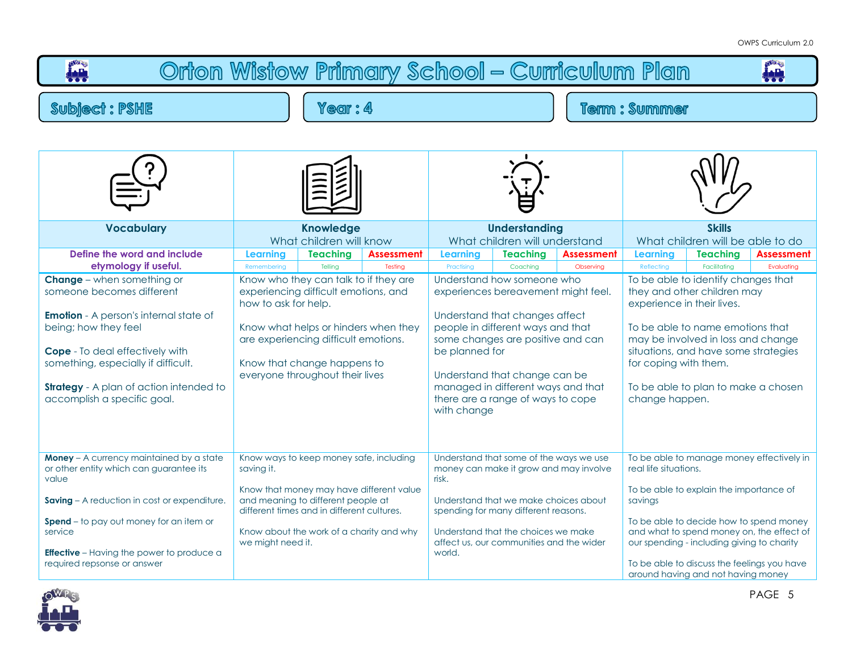| Orton Wistow Primary School - Curriculum Plan                                                                                                                                                                                                                                                                                                                    |                                                                                                                                                                                                                                                                                           |                            |                              |                                                                |                                                                                                                                                                                                                                                                                                                          |                         |                                                                                                                                                                                                                                                                                                                                                                                                             |                                                                                                                                                                                                                       |                                                                                        |  |  |  |  |  |
|------------------------------------------------------------------------------------------------------------------------------------------------------------------------------------------------------------------------------------------------------------------------------------------------------------------------------------------------------------------|-------------------------------------------------------------------------------------------------------------------------------------------------------------------------------------------------------------------------------------------------------------------------------------------|----------------------------|------------------------------|----------------------------------------------------------------|--------------------------------------------------------------------------------------------------------------------------------------------------------------------------------------------------------------------------------------------------------------------------------------------------------------------------|-------------------------|-------------------------------------------------------------------------------------------------------------------------------------------------------------------------------------------------------------------------------------------------------------------------------------------------------------------------------------------------------------------------------------------------------------|-----------------------------------------------------------------------------------------------------------------------------------------------------------------------------------------------------------------------|----------------------------------------------------------------------------------------|--|--|--|--|--|
| <b>Subject: PSHE</b>                                                                                                                                                                                                                                                                                                                                             | Year: 4                                                                                                                                                                                                                                                                                   |                            |                              |                                                                |                                                                                                                                                                                                                                                                                                                          |                         | <b>Term: Summer</b>                                                                                                                                                                                                                                                                                                                                                                                         |                                                                                                                                                                                                                       |                                                                                        |  |  |  |  |  |
|                                                                                                                                                                                                                                                                                                                                                                  |                                                                                                                                                                                                                                                                                           |                            |                              |                                                                |                                                                                                                                                                                                                                                                                                                          |                         |                                                                                                                                                                                                                                                                                                                                                                                                             |                                                                                                                                                                                                                       |                                                                                        |  |  |  |  |  |
| <b>Vocabulary</b>                                                                                                                                                                                                                                                                                                                                                | <b>Knowledge</b><br>What children will know                                                                                                                                                                                                                                               |                            |                              |                                                                | <b>Understanding</b><br>What children will understand                                                                                                                                                                                                                                                                    |                         | <b>Skills</b><br>What children will be able to do                                                                                                                                                                                                                                                                                                                                                           |                                                                                                                                                                                                                       |                                                                                        |  |  |  |  |  |
| Define the word and include<br>etymology if useful.<br><b>Change</b> – when something or<br>someone becomes different<br><b>Emotion</b> - A person's internal state of<br>being; how they feel<br><b>Cope</b> - To deal effectively with<br>something, especially if difficult.<br><b>Strategy</b> - A plan of action intended to<br>accomplish a specific goal. | <b>Learning</b><br>Remembering<br>Know who they can talk to if they are<br>experiencing difficult emotions, and<br>how to ask for help.<br>Know what helps or hinders when they<br>are experiencing difficult emotions.<br>Know that change happens to<br>everyone throughout their lives | <b>Teaching</b><br>Telling | <b>Assessment</b><br>Testing | <b>Learning</b><br>Practising<br>be planned for<br>with change | <b>Teaching</b><br>Coaching<br>Understand how someone who<br>experiences bereavement might feel.<br>Understand that changes affect<br>people in different ways and that<br>some changes are positive and can<br>Understand that change can be<br>managed in different ways and that<br>there are a range of ways to cope | Assessment<br>Observing | <b>Assessment</b><br><b>Learning</b><br><b>Teaching</b><br>Reflecting<br>Facilitating<br>Evaluating<br>To be able to identify changes that<br>they and other children may<br>experience in their lives.<br>To be able to name emotions that<br>may be involved in loss and change<br>situations, and have some strategies<br>for coping with them.<br>To be able to plan to make a chosen<br>change happen. |                                                                                                                                                                                                                       |                                                                                        |  |  |  |  |  |
| Money - A currency maintained by a state<br>or other entity which can guarantee its<br>value<br>Saving - A reduction in cost or expenditure.<br><b>Spend</b> – to pay out money for an item or<br>service<br><b>Effective</b> – Having the power to produce a<br>required repsonse or answer                                                                     | Know ways to keep money safe, including<br>saving it.<br>Know that money may have different value<br>and meaning to different people at<br>different times and in different cultures.<br>Know about the work of a charity and why<br>we might need it.                                    |                            |                              | risk.<br>world.                                                | Understand that some of the ways we use<br>money can make it grow and may involve<br>Understand that we make choices about<br>spending for many different reasons.<br>Understand that the choices we make<br>affect us, our communities and the wider                                                                    |                         | real life situations.<br>savings                                                                                                                                                                                                                                                                                                                                                                            | To be able to explain the importance of<br>To be able to decide how to spend money<br>our spending - including giving to charity<br>To be able to discuss the feelings you have<br>around having and not having money | To be able to manage money effectively in<br>and what to spend money on, the effect of |  |  |  |  |  |